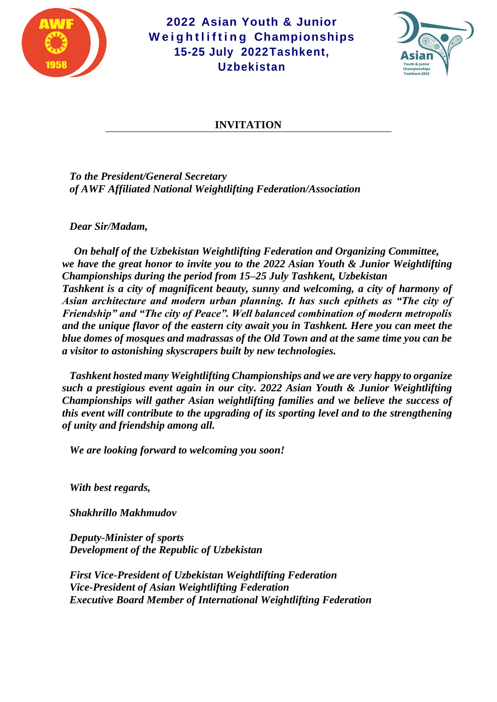



#### **INVITATION**

*To the President/General Secretary of AWF Affiliated National Weightlifting Federation/Association*

*Dear Sir/Madam,*

*On behalf of the Uzbekistan Weightlifting Federation and Organizing Committee, we have the great honor to invite you to the 2022 Asian Youth & Junior Weightlifting Championships during the period from 15–25 July Tashkent, Uzbekistan Tashkent is a city of magnificent beauty, sunny and welcoming, a city of harmony of Asian architecture and modern urban planning. It has such epithets as "The city of Friendship" and "The city of Peace". Well balanced combination of modern metropolis and the unique flavor of the eastern city await you in Tashkent. Here you can meet the blue domes of mosques and madrassas of the Old Town and at the same time you can be a visitor to astonishing skyscrapers built by new technologies.*

*Tashkent hosted many Weightlifting Championships and we are very happy to organize such a prestigious event again in our city. 2022 Asian Youth & Junior Weightlifting Championships will gather Asian weightlifting families and we believe the success of this event will contribute to the upgrading of its sporting level and to the strengthening of unity and friendship among all.* 

*We are looking forward to welcoming you soon!* 

*With best regards,*

*Shakhrillo Makhmudov*

*Deputy-Minister of sports Development of the Republic of Uzbekistan*

*First Vice-President of Uzbekistan Weightlifting Federation Vice-President of Asian Weightlifting Federation Executive Board Member of International Weightlifting Federation*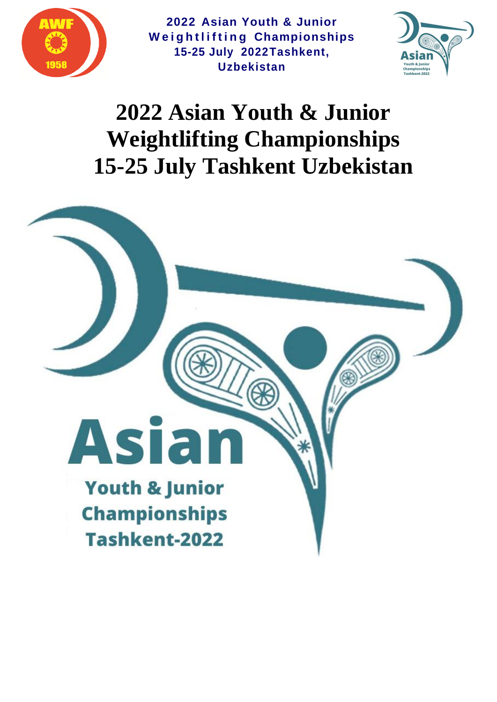



# **2022 Asian Youth & Junior Weightlifting Championships 15-25 July Tashkent Uzbekistan**

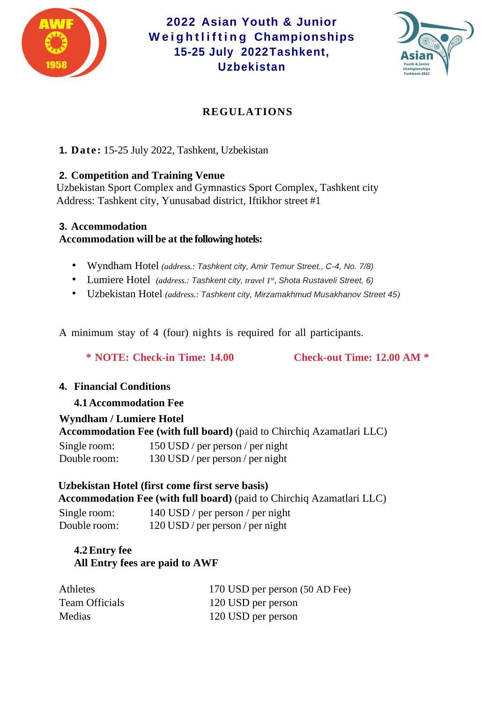



# **REGULATIONS**

**1. Date :** 15-25 July 2022, Tashkent, Uzbekistan

#### **2. Competition and Training Venue**

Uzbekistan Sport Complex and Gymnastics Sport Complex, Tashkent city Address: Tashkent city, Yunusabad district, Iftikhor street #1

#### **3. Accommodation**

**Accommodation will be at the following hotels:**

- Wyndham Hotel *(address.: Tashkent city, Amir Temur Street., C-4, No. 7/8)*
- Lumiere Hotel *(address.: Tashkent city, travel 1st , Shota Rustaveli Street, 6)*
- Uzbekistan Hotel *(address.: Tashkent city, Mirzamakhmud Musakhanov Street 45)*

A minimum stay of 4 (four) nights is required for all participants.

**\* NOTE: Check-in Time: 14.00 Check-out Time: 12.00 AM \***

# **4. Financial Conditions**

# **4.1Accommodation Fee**

#### **Wyndham / Lumiere Hotel**

**Accommodation Fee (with full board)** (paid to Chirchiq Azamatlari LLC)

| Single room: | 150 USD / per person / per night |
|--------------|----------------------------------|
| Double room: | 130 USD / per person / per night |

#### **Uzbekistan Hotel (first come first serve basis) Accommodation Fee (with full board)** (paid to Chirchiq Azamatlari LLC)

| Single room: | 140 USD / per person / per night   |
|--------------|------------------------------------|
| Double room: | $120$ USD / per person / per night |

# **4.2Entry fee All Entry fees are paid to AWF**

| <b>Athletes</b>       | 170 USD per person (50 AD Fee) |
|-----------------------|--------------------------------|
| <b>Team Officials</b> | 120 USD per person             |
| Medias                | 120 USD per person             |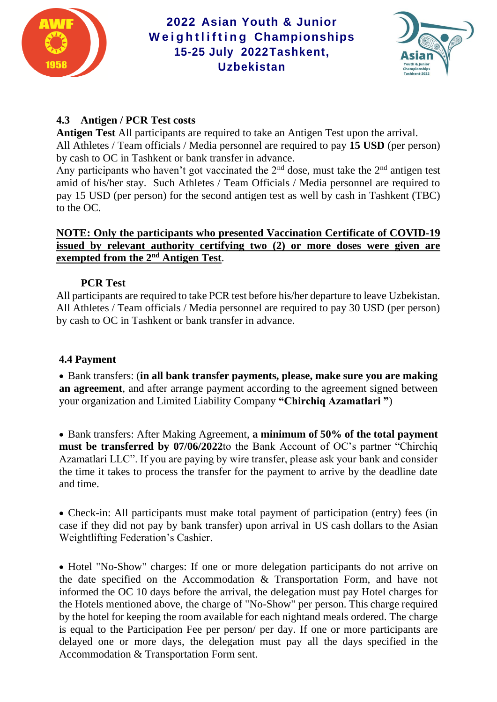



# **4.3 Antigen / PCR Test costs**

**Antigen Test** All participants are required to take an Antigen Test upon the arrival. All Athletes / Team officials / Media personnel are required to pay **15 USD** (per person) by cash to OC in Tashkent or bank transfer in advance.

Any participants who haven't got vaccinated the  $2<sup>nd</sup>$  dose, must take the  $2<sup>nd</sup>$  antigen test amid of his/her stay. Such Athletes / Team Officials / Media personnel are required to pay 15 USD (per person) for the second antigen test as well by cash in Tashkent (TBC) to the OC.

## **NOTE: Only the participants who presented Vaccination Certificate of COVID-19 issued by relevant authority certifying two (2) or more doses were given are exempted from the 2nd Antigen Test**.

# **PCR Test**

All participants are required to take PCR test before his/her departure to leave Uzbekistan. All Athletes / Team officials / Media personnel are required to pay 30 USD (per person) by cash to OC in Tashkent or bank transfer in advance.

# **4.4 Payment**

• Bank transfers: (**in all bank transfer payments, please, make sure you are making an agreement**, and after arrange payment according to the agreement signed between your organization and Limited Liability Company **"Chirchiq Azamatlari "**)

• Bank transfers: After Making Agreement, **a minimum of 50% of the total payment must be transferred by 07/06/2022**to the Bank Account of OC's partner "Chirchiq Azamatlari LLC". If you are paying by wire transfer, please ask your bank and consider the time it takes to process the transfer for the payment to arrive by the deadline date and time.

• Check-in: All participants must make total payment of participation (entry) fees (in case if they did not pay by bank transfer) upon arrival in US cash dollars to the Asian Weightlifting Federation's Cashier.

• Hotel "No-Show" charges: If one or more delegation participants do not arrive on the date specified on the Accommodation & Transportation Form, and have not informed the OC 10 days before the arrival, the delegation must pay Hotel charges for the Hotels mentioned above, the charge of "No-Show" per person. This charge required by the hotel for keeping the room available for each nightand meals ordered. The charge is equal to the Participation Fee per person/ per day. If one or more participants are delayed one or more days, the delegation must pay all the days specified in the Accommodation & Transportation Form sent.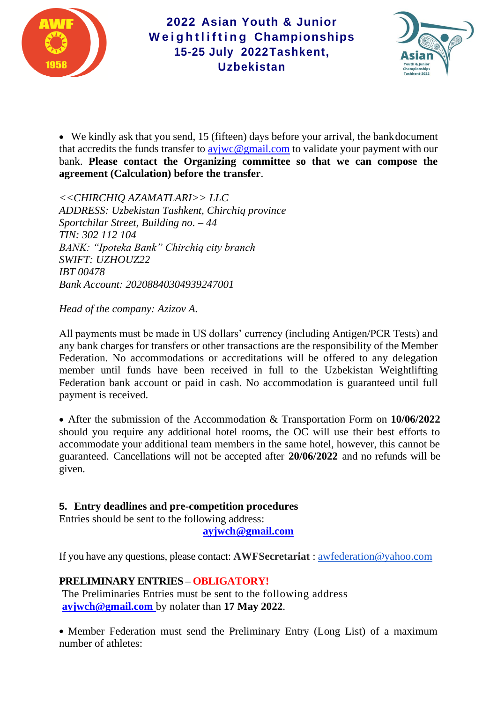



• We kindly ask that you send, 15 (fifteen) days before your arrival, the bank document that accredits the funds transfer to [ayjwc@gmail.com](mailto:ayjwc@gmail.com) to validate your payment with our bank. **Please contact the Organizing committee so that we can compose the agreement (Calculation) before the transfer**.

*<<CHIRCHIQ AZAMATLARI>> LLC ADDRESS: Uzbekistan Tashkent, Chirchiq province Sportchilar Street, Building no. – 44 TIN: 302 112 104 BANK: "Ipoteka Bank" Chirchiq city branch SWIFT: UZHOUZ22 IBT 00478 Bank Account: 20208840304939247001*

*Head of the company: Azizov A.*

All payments must be made in US dollars' currency (including Antigen/PCR Tests) and any bank charges for transfers or other transactions are the responsibility of the Member Federation. No accommodations or accreditations will be offered to any delegation member until funds have been received in full to the Uzbekistan Weightlifting Federation bank account or paid in cash. No accommodation is guaranteed until full payment is received.

• After the submission of the Accommodation & Transportation Form on **10/06/2022** should you require any additional hotel rooms, the OC will use their best efforts to accommodate your additional team members in the same hotel, however, this cannot be guaranteed. Cancellations will not be accepted after **20/06/2022** and no refunds will be given.

#### **5. Entry deadlines and pre-competition procedures**

Entries should be sent to the following address:

**[ayjwch@gmail.com](mailto:ayjwch@gmail.com)**

If you have any questions, please contact: **AWFSecretariat** : [awfederation@yahoo.com](mailto:awfederation@yahoo.com)

#### **PRELIMINARY ENTRIES – OBLIGATORY!**

The Preliminaries Entries must be sent to the following address **[ayjwch@gmail.com](mailto:ayjwch@gmail.com)** by nolater than **17 May 2022**.

• Member Federation must send the Preliminary Entry (Long List) of a maximum number of athletes: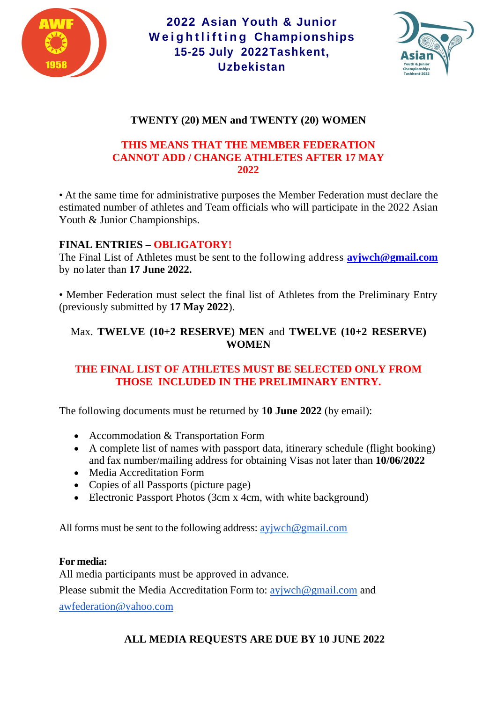



# **TWENTY (20) MEN and TWENTY (20) WOMEN**

#### **THIS MEANS THAT THE MEMBER FEDERATION CANNOT ADD / CHANGE ATHLETES AFTER 17 MAY 2022**

• At the same time for administrative purposes the Member Federation must declare the estimated number of athletes and Team officials who will participate in the 2022 Asian Youth & Junior Championships.

#### **FINAL ENTRIES – OBLIGATORY!**

The Final List of Athletes must be sent to the following address **[ayjwch@gmail.com](mailto:ayjwch@gmail.com)** by no later than **17 June 2022.**

• Member Federation must select the final list of Athletes from the Preliminary Entry (previously submitted by **17 May 2022**).

## Max. **TWELVE (10+2 RESERVE) MEN** and **TWELVE (10+2 RESERVE) WOMEN**

# **THE FINAL LIST OF ATHLETES MUST BE SELECTED ONLY FROM THOSE INCLUDED IN THE PRELIMINARY ENTRY.**

The following documents must be returned by **10 June 2022** (by email):

- Accommodation & Transportation Form
- A complete list of names with passport data, itinerary schedule (flight booking) and fax number/mailing address for obtaining Visas not later than **10/06/2022**
- Media Accreditation Form
- Copies of all Passports (picture page)
- Electronic Passport Photos (3cm x 4cm, with white background)

All forms must be sent to the following address: [ayjwch@gmail.com](mailto:ayjwch@gmail.com)

#### **For media:**

All media participants must be approved in advance.

Please submit the Media Accreditation Form to: aviwch@gmail.com and

[awfederation@yahoo.com](mailto:awfederation@yahoo.com)

# **ALL MEDIA REQUESTS ARE DUE BY 10 JUNE 2022**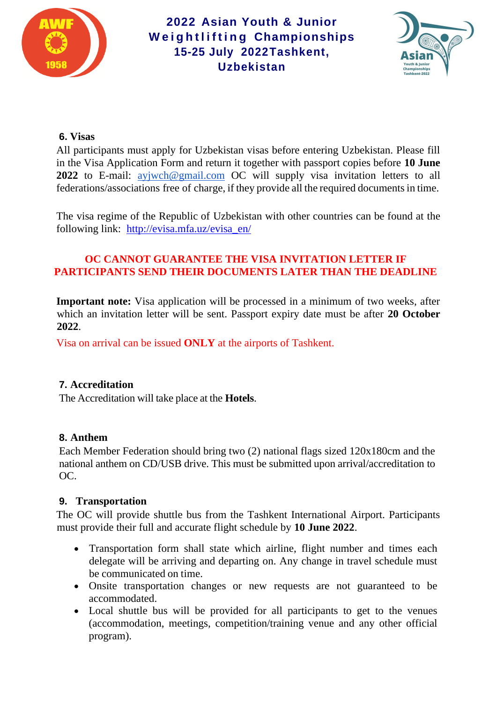



# **6. Visas**

All participants must apply for Uzbekistan visas before entering Uzbekistan. Please fill in the Visa Application Form and return it together with passport copies before **10 June 2022** to E-mail: [ayjwch@gmail.com](mailto:ayjwch@gmail.com) OC will supply visa invitation letters to all federations/associations free of charge, if they provide all the required documents in time.

The visa regime of the Republic of Uzbekistan with other countries can be found at the following link: [http://evisa.mfa.uz/evisa\\_en/](http://evisa.mfa.uz/evisa_en/)

# **OC CANNOT GUARANTEE THE VISA INVITATION LETTER IF PARTICIPANTS SEND THEIR DOCUMENTS LATER THAN THE DEADLINE**

**Important note:** Visa application will be processed in a minimum of two weeks, after which an invitation letter will be sent. Passport expiry date must be after **20 October 2022**.

Visa on arrival can be issued **ONLY** at the airports of Tashkent.

# **7. Accreditation**

The Accreditation will take place at the **Hotels**.

#### **8. Anthem**

Each Member Federation should bring two (2) national flags sized 120x180cm and the national anthem on CD/USB drive. This must be submitted upon arrival/accreditation to OC.

#### **9. Transportation**

The OC will provide shuttle bus from the Tashkent International Airport. Participants must provide their full and accurate flight schedule by **10 June 2022**.

- Transportation form shall state which airline, flight number and times each delegate will be arriving and departing on. Any change in travel schedule must be communicated on time.
- Onsite transportation changes or new requests are not guaranteed to be accommodated.
- Local shuttle bus will be provided for all participants to get to the venues (accommodation, meetings, competition/training venue and any other official program).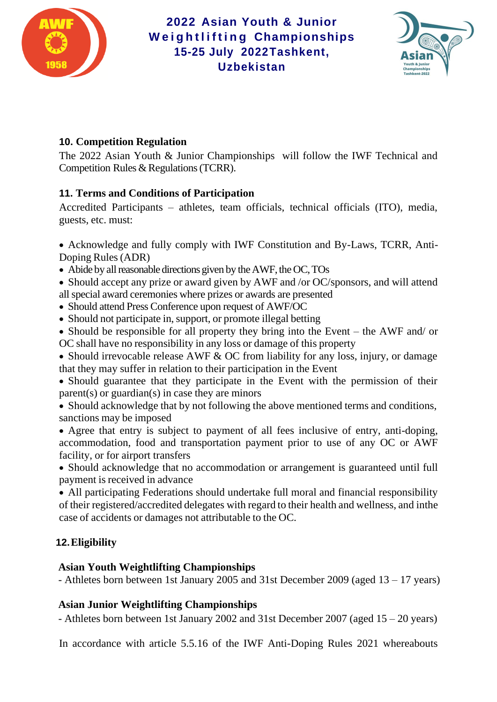



# **10. Competition Regulation**

The 2022 Asian Youth & Junior Championships will follow the IWF Technical and Competition Rules & Regulations (TCRR).

# **11. Terms and Conditions of Participation**

Accredited Participants – athletes, team officials, technical officials (ITO), media, guests, etc. must:

• Acknowledge and fully comply with IWF Constitution and By-Laws, TCRR, Anti-Doping Rules(ADR)

• Abide by all reasonable directions given by the AWF, the OC, TOs

• Should accept any prize or award given by AWF and /or OC/sponsors, and will attend allspecial award ceremonies where prizes or awards are presented

- Should attend Press Conference upon request of AWF/OC
- Should not participate in, support, or promote illegal betting

• Should be responsible for all property they bring into the Event – the AWF and/ or OC shall have no responsibility in any loss or damage of this property

• Should irrevocable release AWF & OC from liability for any loss, injury, or damage that they may suffer in relation to their participation in the Event

• Should guarantee that they participate in the Event with the permission of their parent(s) or guardian(s) in case they are minors

• Should acknowledge that by not following the above mentioned terms and conditions, sanctions may be imposed

• Agree that entry is subject to payment of all fees inclusive of entry, anti-doping, accommodation, food and transportation payment prior to use of any OC or AWF facility, or for airport transfers

• Should acknowledge that no accommodation or arrangement is guaranteed until full payment is received in advance

• All participating Federations should undertake full moral and financial responsibility of their registered/accredited delegates with regard to their health and wellness, and inthe case of accidents or damages not attributable to the OC.

# **12.Eligibility**

# **Asian Youth Weightlifting Championships**

- Athletes born between 1st January 2005 and 31st December 2009 (aged 13 – 17 years)

# **Asian Junior Weightlifting Championships**

- Athletes born between 1st January 2002 and 31st December 2007 (aged 15 – 20 years)

In accordance with article 5.5.16 of the IWF Anti-Doping Rules 2021 whereabouts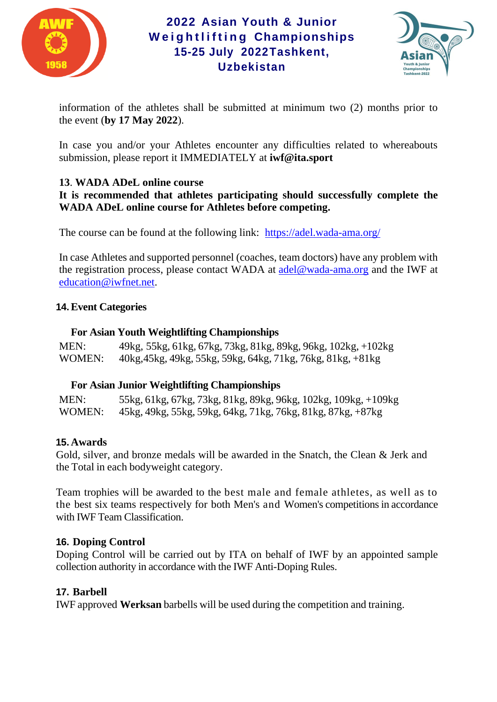



information of the athletes shall be submitted at minimum two (2) months prior to the event (**by 17 May 2022**).

In case you and/or your Athletes encounter any difficulties related to whereabouts submission, please report it IMMEDIATELY at **[iwf@ita.sport](mailto:iwf@ita.sport)**

# **13**. **WADA ADeL online course**

**It is recommended that athletes participating should successfully complete the WADA ADeL online course for Athletes before competing.**

The course can be found at the following link: <https://adel.wada-ama.org/>

In case Athletes and supported personnel (coaches, team doctors) have any problem with the registration process, please contact WADA at [adel@wada-ama.org](mailto:adel@wada-ama.org) and the IWF at [education@iwfnet.net.](mailto:education@iwfnet.net)

#### **14.Event Categories**

#### **For Asian Youth Weightlifting Championships**

MEN: 49kg, 55kg, 61kg, 67kg, 73kg, 81kg, 89kg, 96kg, 102kg, +102kg WOMEN: 40kg,45kg, 49kg, 55kg, 59kg, 64kg, 71kg, 76kg, 81kg, +81kg

# **For Asian Junior Weightlifting Championships**

MEN: 55kg, 61kg, 67kg, 73kg, 81kg, 89kg, 96kg, 102kg, 109kg, +109kg WOMEN: 45kg, 49kg, 55kg, 59kg, 64kg, 71kg, 76kg, 81kg, 87kg, +87kg

# **15. Awards**

Gold, silver, and bronze medals will be awarded in the Snatch, the Clean & Jerk and the Total in each bodyweight category.

Team trophies will be awarded to the best male and female athletes, as well as to the best six teams respectively for both Men's and Women's competitionsin accordance with IWF Team Classification.

# **16. Doping Control**

Doping Control will be carried out by ITA on behalf of IWF by an appointed sample collection authority in accordance with the IWF Anti-Doping Rules.

# **17. Barbell**

IWF approved **Werksan** barbells will be used during the competition and training.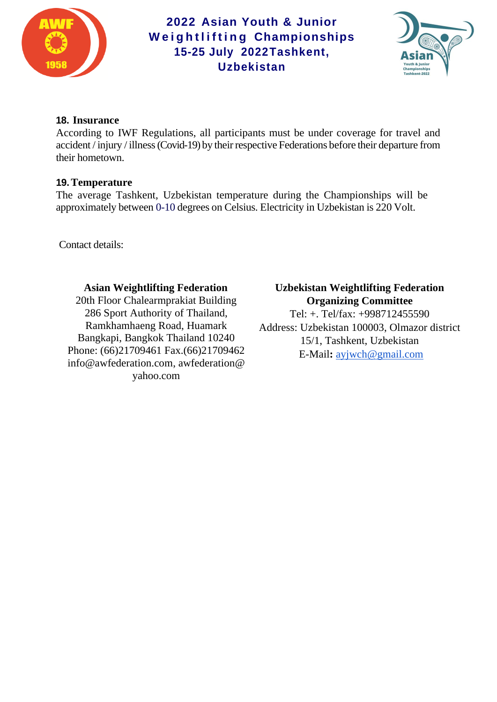



## **18. Insurance**

According to IWF Regulations, all participants must be under coverage for travel and accident / injury / illness (Covid-19) by their respective Federations before their departure from their hometown.

#### **19.Temperature**

The average Tashkent, Uzbekistan temperature during the Championships will be approximately between 0-10 degrees on Celsius. Electricity in Uzbekistan is 220 Volt.

Contact details:

# **Asian Weightlifting Federation**

20th Floor Chalearmprakiat Building 286 Sport Authority of Thailand, Ramkhamhaeng Road, Huamark Bangkapi, Bangkok Thailand 10240 Phone: (66)21709461 Fax.(66)21709462 [info@awfederation.com,](mailto:info@awfederation.com) [awfederation@](mailto:awfederation@yahoo.com) [yahoo.com](mailto:awfederation@yahoo.com)

# **Uzbekistan Weightlifting Federation Organizing Committee**

Tel: +. Tel/fax: +998712455590 Address: Uzbekistan 100003, Olmazor district 15/1, Tashkent, Uzbekistan E-Mail**:** [ayjwch@gmail.com](mailto:ayjwch@gmail.com)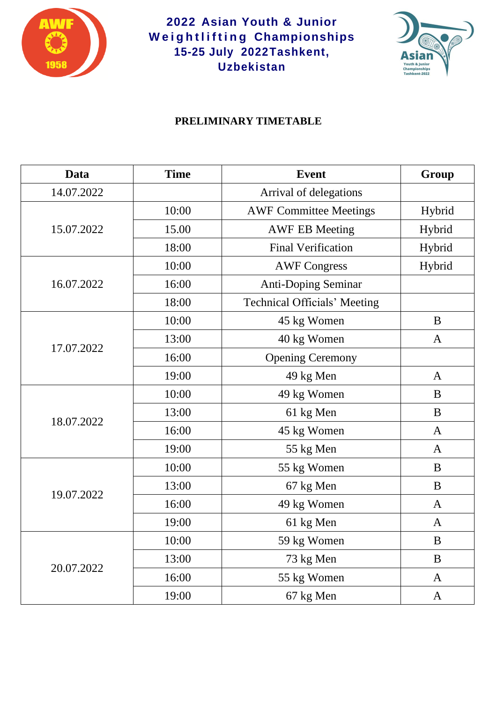



# **PRELIMINARY TIMETABLE**

| Data       | <b>Time</b> | <b>Event</b>                        | Group        |
|------------|-------------|-------------------------------------|--------------|
| 14.07.2022 |             | Arrival of delegations              |              |
| 15.07.2022 | 10:00       | <b>AWF Committee Meetings</b>       | Hybrid       |
|            | 15.00       | <b>AWF EB Meeting</b>               | Hybrid       |
|            | 18:00       | <b>Final Verification</b>           | Hybrid       |
|            | 10:00       | <b>AWF Congress</b>                 | Hybrid       |
| 16.07.2022 | 16:00       | <b>Anti-Doping Seminar</b>          |              |
|            | 18:00       | <b>Technical Officials' Meeting</b> |              |
|            | 10:00       | 45 kg Women                         | B            |
|            | 13:00       | 40 kg Women                         | $\mathbf{A}$ |
| 17.07.2022 | 16:00       | <b>Opening Ceremony</b>             |              |
|            | 19:00       | 49 kg Men                           | $\mathbf{A}$ |
| 18.07.2022 | 10:00       | 49 kg Women                         | B            |
|            | 13:00       | 61 kg Men                           | B            |
|            | 16:00       | 45 kg Women                         | $\mathbf{A}$ |
|            | 19:00       | 55 kg Men                           | $\mathbf{A}$ |
| 19.07.2022 | 10:00       | 55 kg Women                         | B            |
|            | 13:00       | 67 kg Men                           | B            |
|            | 16:00       | 49 kg Women                         | $\mathbf{A}$ |
|            | 19:00       | 61 kg Men                           | $\mathbf{A}$ |
| 20.07.2022 | 10:00       | 59 kg Women                         | $\bf{B}$     |
|            | 13:00       | 73 kg Men                           | B            |
|            | 16:00       | 55 kg Women                         | $\mathbf{A}$ |
|            | 19:00       | 67 kg Men                           | $\mathbf{A}$ |